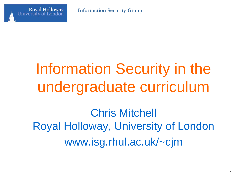



# Information Security in the undergraduate curriculum

Chris Mitchell Royal Holloway, University of London www.isg.rhul.ac.uk/~cjm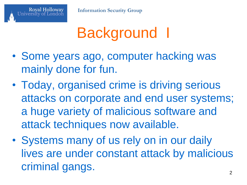

# Background I

- Some years ago, computer hacking was mainly done for fun.
- Today, organised crime is driving serious attacks on corporate and end user systems; a huge variety of malicious software and attack techniques now available.
- Systems many of us rely on in our daily lives are under constant attack by malicious criminal gangs.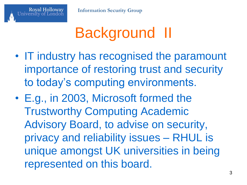

# Background II

- IT industry has recognised the paramount importance of restoring trust and security to today's computing environments.
- E.g., in 2003, Microsoft formed the Trustworthy Computing Academic Advisory Board, to advise on security, privacy and reliability issues – RHUL is unique amongst UK universities in being represented on this board.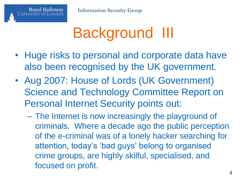# Background III

- Huge risks to personal and corporate data have also been recognised by the UK government.
- Aug 2007: House of Lords (UK Government) Science and Technology Committee Report on Personal Internet Security points out:
	- The Internet is now increasingly the playground of criminals. Where a decade ago the public perception of the e-criminal was of a lonely hacker searching for attention, today's 'bad guys' belong to organised crime groups, are highly skilful, specialised, and focused on profit.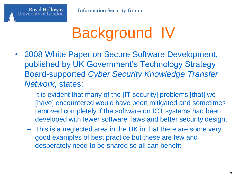Royal Holloway<br>University of London



- 2008 White Paper on Secure Software Development, published by UK Government's Technology Strategy Board-supported *Cyber Security Knowledge Transfer Network*, states:
	- It is evident that many of the [IT security] problems [that] we [have] encountered would have been mitigated and sometimes removed completely if the software on ICT systems had been developed with fewer software flaws and better security design.
	- This is a neglected area in the UK in that there are some very good examples of best practice but these are few and desperately need to be shared so all can benefit.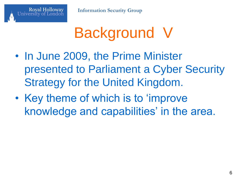

# Background V

- In June 2009, the Prime Minister presented to Parliament a Cyber Security Strategy for the United Kingdom.
- Key theme of which is to 'improve knowledge and capabilities' in the area.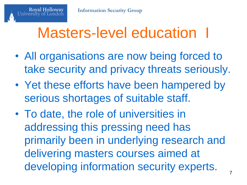#### Masters-level education I

- All organisations are now being forced to take security and privacy threats seriously.
- Yet these efforts have been hampered by serious shortages of suitable staff.
- To date, the role of universities in addressing this pressing need has primarily been in underlying research and delivering masters courses aimed at developing information security experts.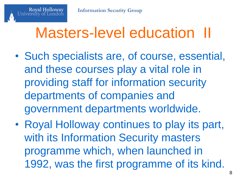#### Masters-level education II

- Such specialists are, of course, essential, and these courses play a vital role in providing staff for information security departments of companies and government departments worldwide.
- Royal Holloway continues to play its part, with its Information Security masters programme which, when launched in 1992, was the first programme of its kind.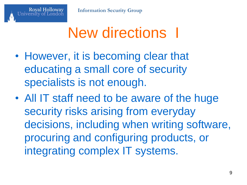#### New directions I

- However, it is becoming clear that educating a small core of security specialists is not enough.
- All IT staff need to be aware of the huge security risks arising from everyday decisions, including when writing software, procuring and configuring products, or integrating complex IT systems.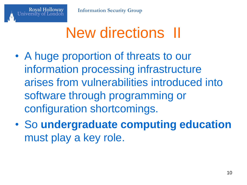# New directions II

- A huge proportion of threats to our information processing infrastructure arises from vulnerabilities introduced into software through programming or configuration shortcomings.
- So **undergraduate computing education** must play a key role.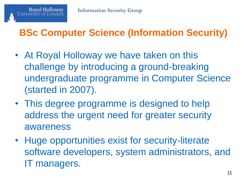#### **BSc Computer Science (Information Security)**

- At Royal Holloway we have taken on this challenge by introducing a ground-breaking undergraduate programme in Computer Science (started in 2007).
- This degree programme is designed to help address the urgent need for greater security awareness
- Huge opportunities exist for security-literate software developers, system administrators, and IT managers.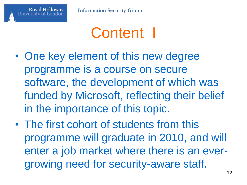

#### Content I

- One key element of this new degree programme is a course on secure software, the development of which was funded by Microsoft, reflecting their belief in the importance of this topic.
- The first cohort of students from this programme will graduate in 2010, and will enter a job market where there is an evergrowing need for security-aware staff.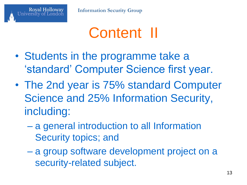

#### Content II

- Students in the programme take a 'standard' Computer Science first year.
- The 2nd year is 75% standard Computer Science and 25% Information Security, including:
	- a general introduction to all Information Security topics; and
	- a group software development project on a security-related subject.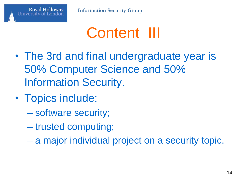

#### Content III

- The 3rd and final undergraduate year is 50% Computer Science and 50% Information Security.
- Topics include:
	- software security;
	- trusted computing;
	- a major individual project on a security topic.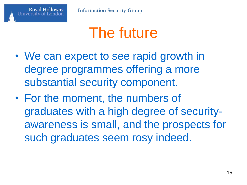

#### The future

- We can expect to see rapid growth in degree programmes offering a more substantial security component.
- For the moment, the numbers of graduates with a high degree of securityawareness is small, and the prospects for such graduates seem rosy indeed.